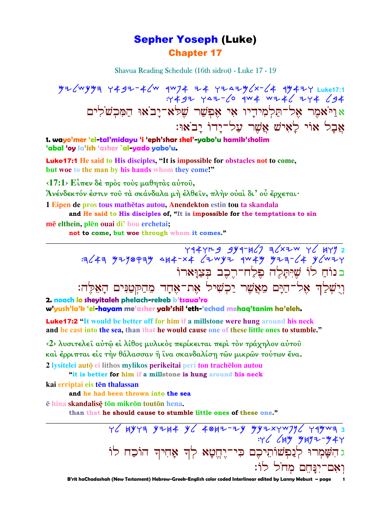### **Sepher Yoseph (Luke) Chapter 17**

Shavua Reading Schedule (16th sidrot) - Luke 17 - 19

 $\frac{1}{2}$ <br> $\frac{1}{2}$   $\frac{1}{2}$   $\frac{1}{2}$   $\frac{1}{2}$   $\frac{1}{2}$   $\frac{1}{2}$   $\frac{1}{2}$   $\frac{1}{2}$   $\frac{1}{2}$   $\frac{1}{2}$   $\frac{1}{2}$   $\frac{1}{2}$   $\frac{1}{2}$   $\frac{1}{2}$   $\frac{1}{2}$   $\frac{1}{2}$   $\frac{1}{2}$   $\frac{1}{2}$   $\frac{1}{2}$   $\frac{1}{2}$   $\frac{1}{2}$  אַרַיֹאמֶר אֶל־תַּלְמִידָיו אִי אֵפִשַׁר שֵׁלֹא־יַבֹאוּ הַמִּכִשׁלִים אֲבַל אוֹי לַאִישׁ אֲשֶׁר עַל־יַדוֹ יַבֹאוּ:

1. wayo'mer 'el-tal'midayu 'i 'eph'shar shel'-yabo'u hamik'sholim 'abal 'oy la'ish 'asher `al-yado yabo'u.

**Luke17:1** He said to His disciples, "It is impossible for obstacles not to come, but woe to the man by his hands whom they come!"

 $\langle 17:1 \rangle$  Είπεν δέ πρός τούς μαθητάς αύτου.

Άνένδεκτόν έστιν τοῦ τὰ σκάνδαλα μὴ ἐλθεῖν, πλὴν οὐαὶ δι' οὗ ἔργεται·

1 Eipen de pros tous mathētas autou, Anendekton estin tou ta skandala

and He said to His disciples of, "It is impossible for the temptations to sin mē elthein, plēn ouai di'hou erchetai;

not to come, but woe through whom it comes."

בנוֹחַ לוֹ שֵׁיִּתַלֶה פֵלַח־רֵכֶב בִּצַוַּארוֹ וִיִשְׁלַדְ אָל־הַיַּם מֵאֲשֶׁר יַכְשִׁיל אֶת־אָחָד מֶהַקִּטְנִּים הָאֵלֶה:

2. noach lo sheyitaleh phelach-rekeb b'tsaua'ro w'yush'la'k 'el-hayam me'asher yak'shil 'eth-'echad mehaq'tanim ha'eleh.

**Luke17:2** "It would be better off for him if a millstone were hung around his neck and be cast into the sea, than that he would cause one of these little ones to stumble."

<2> λυσιτελεί αύτώ εί λίθος μυλικός περίκειται περί τον τράχηλον αύτου και έρριπται είς την θάλασσαν ή ίνα σκανδαλίση των μικρών τούτων ένα. 2 lysitelei autō ei lithos mylikos perikeitai peri ton trachēlon autou

"it is better for him if a millstone is hung around his neck

kai erriptai eis tēn thalassan

and he had been thrown into the sea

ē hina skandalisē tōn mikrōn toutōn hena.

than that he should cause to stumble little ones of these one."

 $76$  HYYA YIH+ Y6 40HZ-IY YYIXYWJY6 YAYWA 3  $776$   $649$   $9497 - 947$ ו דע איש אייט פון.<br>דאש לך אווחי האי האיט פינגל האי הובח לו הוכח לו וְאָם־יְנַּחֵם מִחֹל לוֹ: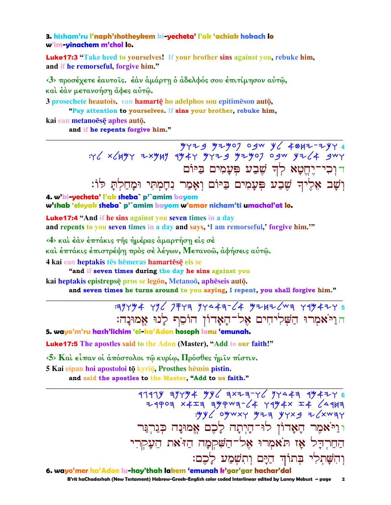#### 3. hisham'ru l'naph'shotheykem ki-yecheta' l'ak 'achiak hokach lo w'im-yinachem m'chol lo.

**Luke17:3** "Take heed to yourselves! If your brother sins against you, rebuke him, and if he remorseful, forgive him."

<3> προσέχετε έαυτοίς. έαν αμάρτη ο αδελφός σου επιτίμησον αυτώ, και έαν μετανοήση άφες αύτω.

3 prosechete heautois, ean hamarte ho adelphos sou epitimeson auto,

"Pay attention to yourselves. If sins your brother, rebuke him,

kai ean metanoese aphes auto.

and if he repents forgive him."

דוכי־יֵחֱטָא לִדְ שֵׁבַע פִּעָמִים בַּיּוֹם וְשָׁב אֵלֶיךְ שֶׁבַע פְּעָמִים בַּיּוֹם וְאָמַר נִחָמְתִּי וּמַחַלְתַּ לֹוֹ:

4. w'ki-yecheta' l'ak sheba` p'`amim bayom w'shab 'eleyak sheba` p'`amim bayom w'amar nicham'ti umachal'at lo.

**Luke17:4 "And if he sins against you seven times in a day** and repents to you seven times in a day and says, 'I am remorseful,' forgive him."

 $\langle 4 \rangle$  και έαν έπτάκις της ημέρας αμαρτήση είς σέ

καὶ ἐπτάκις ἐπιστρέψη πρὸς σὲ λέγων, Μετανοῶ, ἀφήσεις αὐτῶ.

4 kai ean heptakis tēs hēmeras hamartēsē eis se

"and if seven times during the day he sins against you

kai heptakis epistrepsē pros se legōn, Metanoō, aphēseis autō.

and seven times he turns around to you saying, I repent, you shall forgive him."

### $79944$  496 7743 94443-64 92426 43 4494245 הוַיֹּאמִרוּ הַשָּׁלִיחִים אָל־הָאָדוֹן הוֹסֵף לָנוּ אֵמוּנַה:

5. wayo'm'ru hash'lichim 'el-ha'Adon hoseph lanu 'emunah.

**Luke17:5** The apostles said to the Adon (Master), "Add to our faith!"

 $\langle 5 \rangle$  Και είπαν οι απόστολοι τω κυρίω, Πρόσθες ήμιν πίστιν.

5 Kai eipan hoi apostoloi tō kyriō, Prosthes hēmin pistin.

and said the apostles to the Master, "Add to us faith."

 $1111y$   $177y4$   $79y$   $111y$   $111y$   $111y$   $111y$   $111y$   $111y$   $111y$   $111y$   $111y$   $111y$   $111y$ 24909 x4I9 99949-64 7994x I4 64999  $xyy$  oywxy y  $74$  yyxg z xway ו וַיֹּאמֶר הַאֲדוֹן לוּ־הַיִתַה לַכֶם אֱמוּנַה כִּגַרְגַּר החרדל אז תאמרו אל־השקמה היאת העקרי וְהִשַּׁתְלִי בִּתוֹדְ הַיַּם וְתִשְׁמַע לַכֶם:

6. wayo'mer ha'Adon lu-hay'thah lakem 'emunah k'gar'gar hachar'dal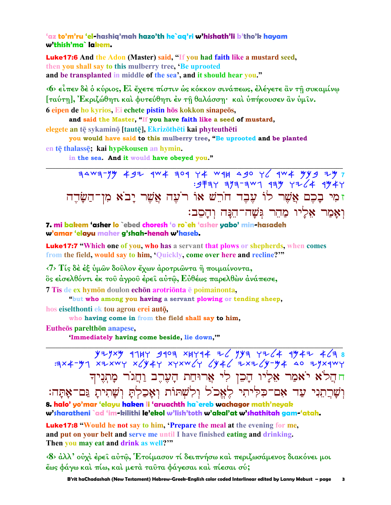### 'az to'm'ru 'el-hashiq'mah hazo'th he`aq'ri w'hishath'li b'tho'k hayam w'thish'ma`lakem.

**Luke17:6** And the Adon (Master) said, "If you had faith like a mustard seed, then you shall say to this mulberry tree. Be uprooted and be transplanted in middle of the sea', and it should hear you."

«6» είπεν δέ ο κύριος, Εί έχετε πίστιν ως κόκκον σινάπεως, ελέγετε ἂν τη συκαμίνω Γταύτη], Εκριζώθητι και φυτεύθητι έν τη θαλάσση· και υπήκουσεν αν υμιν. 6 eipen de ho kyrios, Ei echete pistin hōs kokkon sinapeōs,

and said the Master, "If you have faith like a seed of mustard, elegete an tē sykaminō [tautē], Ekrizōthēti kai phyteuthēti

you would have said to this mulberry tree, "Be uprooted and be planted en tē thalassē; kai hypēkousen an hymin.

in the sea. And it would have obeyed you."

 $: 9777$  3/3-3 43 43 44 44 344 זמִי בָכֶם אֲשֶׁר לוֹ עָבֶד חֹרֵשׁ אוֹ רֹעָה אֲשֶׁר יָבֹא מִן־הַשָּׂדֶה וְאַמַר אֶלֵיוּ מַהֵר גִּשַׁה־הֵנַּה וְהַסֶב:

7. mi bakem 'asher lo `ebed choresh 'o ro`eh 'asher yabo' min-hasadeh w'amar 'elayu maher g'shah-henah w'haseb.

**Luke17:7** "Which one of you, who has a servant that plows or shepherds, when comes from the field, would say to him, 'Quickly, come over here and recline?"

<7> Τίς δέ έξ ύμων δούλον έχων άροτριώντα ή ποιμαίνοντα, δς είσελθόντι έκ του άγρου έρει αύτω, Εύθέως παρελθών άνάπεσε, 7 Tis de ex hymon doulon echon arotrionta e poimainonta,

"but who among you having a servant plowing or tending sheep,

hos eiselthonti ek tou agrou erei autō.

who having come in from the field shall say to him,

Eutheos parelthon anapese,

'Immediately having come beside, lie down,""

 $y + y \times y$  1147 9103 ×4714 76 741 776 746 747 463 9144<br>
Ext-y xt-xwy x(y 47 xyxw(y (y 46 +x+(y-y 4 40 +yx4wy חהֲלֹא יֹאמַר אֶלִיו הָכֵן לִי אֲרוּחַת הָעֶרֶב וַחֲגֹר מָתְנֶיךָ וִשְׁרֵתְנִי עַד אָם־כִּלְיתִי לֵאֶכֹל וְלְשָׁתּוֹת וְאַכַלְתַּ וְשַׁתִיתַ גַּם־אַתַּה: 8. halo' yo'mar 'elayu haken li 'aruachth ha`ereb wachagor math'neyak w'sharatheni `ad 'im-kilithi le'ekol w'lish'toth w'akal'at w'shathitah gam-'atah.

Luke17:8 "Would he not say to him, 'Prepare the meal at the evening for me, and put on your belt and serve me until I have finished eating and drinking. Then you may eat and drink as well?"

<8> άλλ' ούχὶ έρεῖ αὐτῷ, Έτοίμασον τί δειπνήσω καὶ περιζωσάμενος διακόνει μοι έως φάγω καὶ πίω, καὶ μετὰ ταῦτα φάγεσαι καὶ πίεσαι σύ;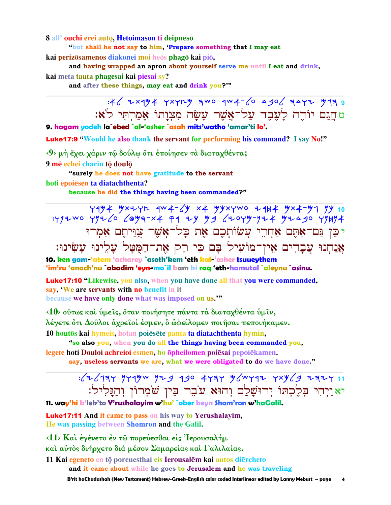8 all'ouchi erei autō, Hetoimason ti deipnēsō

"but shall he not say to him, 'Prepare something that I may eat

kai perizōsamenos diakonei moi heōs phagō kai piō,

and having wrapped an apron about yourself serve me until I eat and drink, kai meta tauta phagesai kai piesai sy?

and after these things, may eat and drink you?"

טהֵנֵם יוֹדֶה לַעֲבֶד עַל־אֱשֶׁר עַשַׂה מִצְוַתוֹ אַמַרְתִּי לֹא:

9. hagam yodeh la`ebed `al-'asher `asah mits'watho 'amar'ti lo'.

**Luke17:9** "Would he also thank the servant for performing his command? I say No!"

<9> μή έχει χάριν τω δούλω ότι έποίησεν τα διαταχθέντα;

9 mē echei charin tō doulō

"surely he does not have gratitude to the servant

hoti epoiesen ta diatachthenta?

because he did the things having been commanded?"

 $79\frac{y}{4}$   $4\frac{y}{2}$   $7\frac{y}{10}$   $4\frac{y}{2}$   $4\frac{y}{2}$   $4\frac{y}{2}$   $4\frac{y}{2}$   $4\frac{y}{2}$   $4\frac{y}{2}$   $10$ : YYZWO YYZ 6 6843-X4 P9 ZY YS 620YY-YZ4 YZASO YYHY4 יכֵּן נַּם־אַתֶּם אַחֲרֵי עֲשׂוֹתִכֵם אֵת כָּל־אֲשֵׁר צַוֵּיתֵם אָמְרוּ אֲנַחְנוּ עֲבָדִים אִין־מוֹעִיל בַּם כִּי רַק אֶת־הַמְטַל עַלֵינוּ עַשִׂינוּ:

10. ken gam-'atem 'acharey `asoth'kem 'eth kal-'asher tsuueythem 'im'ru 'anach'nu `abadim 'eyn-mo`il bam ki raq 'eth-hamutal `aleynu `asinu.

Luke17:10 "Likewise, you also, when you have done all that you were commanded, say, 'We are servants with no benefit in it because we have only done what was imposed on us."

<10> ούτως και υμείς, όταν ποιήσητε πάντα τα διαταχθέντα υμίν, λέγετε ὄτι Δοῦλοι ἀχρεῖοί ἐσμεν, ὃ ὦφείλομεν ποιῆσαι πεποιήκαμεν. 10 houtos kai hymeis, hotan poiesete panta ta diatachthenta hymin,

"so also you, when you do all the things having been commanded you, legete hoti Douloi achreioi esmen, ho opheilomen poiesai pepoiekamen.

say, useless servants we are, what we were obligated to do we have done."

## $1/2$   $1/3$   $1/4$   $1/4$   $1/4$   $1/4$   $1/4$   $1/4$   $1/4$   $1/4$   $1/4$   $1/4$   $1/4$   $1/4$   $1/4$   $1/4$   $1/4$   $1/4$   $1/4$   $1/4$   $1/4$   $1/4$   $1/4$   $1/4$   $1/4$   $1/4$   $1/4$   $1/4$   $1/4$   $1/4$   $1/4$   $1/4$   $1/4$   $1/4$   $1/4$   $1/4$   $1/4$ יאַוַיִהִי בִלֵכְתּוֹ יִרוּשָׁלַם וְהוּא עֹבֶר בֵּין שֹׁמְרוֹן וְהַנָּלִיל:

11. way'hi b'lek'to Y'rushalayim w'hu' `ober beyn Shom'ron w'haGalil.

**Luke17:11** And it came to pass on his way to Yerushalayim, He was passing between Shomron and the Galil.

<11> Και έγένετο έν τω πορεύεσθαι είς Ιερουσαλήμ και αύτος διήρχετο διά μέσον Σαμαρείας και Γαλιλαίας.

11 Kai egeneto en tō poreuesthai eis Ierousalēm kai autos diērcheto and it came about while he goes to Jerusalem and he was traveling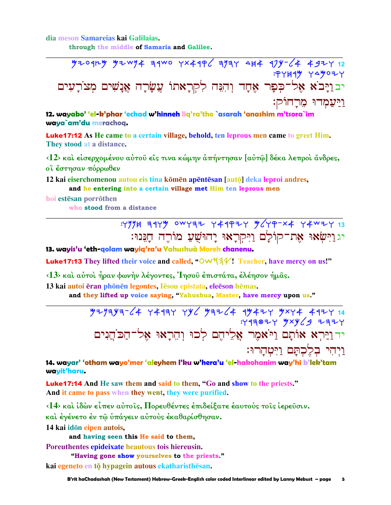dia meson Samareias kai Galilaias.

through the middle of Samaria and Galilee.

 $7209$   $749$   $749$   $749$   $749$   $749$   $749$   $749$   $744$   $71$   $74$   $749$   $712$ **: PYH4Y YAYOZY** יבויַבֹא אֶל־כִּפָר אֶחֲד וְהִנֵּה לִקְרָאתוֹ עֲשֶׂרָה אֲנָשִׁים מִצוֹרָעִים <u>ויעמדו מרחוק:</u>

12. wayabo' 'el-k'phar 'echad w'hinneh liq'ra'tho `asarah 'anashim m'tsora`im waya`am'du merachoq.

**Luke17:12** As He came to a certain village, behold, ten leprous men came to greet Him. They stood at a distance.

<12> και είσερχομένου αύτου είς τινα κώμην άπήντησαν [αύτω] δέκα λεπροι άνδρες, οϊ έστησαν πόρρωθεν

12 kai eiserchomenou autou eis tina komen apentesan [auto] deka leproi andres, and he entering into a certain village met Him ten leprous men

hoi estēsan porrōthen who stood from a distance

> : Y' A 31Y" OWY32 Y44P2Y "/YP-X4 Y4W2Y 13 יג וַיִּשְׂאוּ אֶת־קוֹלָם וַיִּקִרְאוּ יָהוּשָׁעַ מוֹרֵה חָגֵּנוּ:

13. wayis'u 'eth-golam wayig'ra'u Yahushuà Moreh chanenu.

Luke17:13 They lifted their voice and called, "Ow\\\$\\\$\\\!\!\! Teacher, have mercy on us!"

<13> και αύτοι ήραν φωνήν λέγοντες, Ίησου επιστάτα, ελέησον ήμας.

13 kai autoi ēran phōnēn legontes, Iēsou epistata, eleēson hēmas.

and they lifted up voice saying, "Yahushua, Master, have mercy upon us."

.<br>יד וַיַּרְא אוֹתָם וַיֹּאמֶר אֲלֵיהֵם לְכוּ וְהֵרָאוּ אֵל־הַכּהֵנִים ויחי בלכתם ויטחרו:

14. wayar' 'otham wayo'mer 'aleyhem l'ku w'hera'u 'el-hakohanim way'hi b'lek'tam wayit'haru.

**Luke17:14** And He saw them and said to them, "Go and show to the priests." And it came to pass when they went, they were purified.

 $\langle 14 \rangle$  και ίδών είπεν αύτοις, Πορευθέντες επιδείξατε εαυτους τοις ιερεύσιν. και έγένετο έν τῶ υπάγειν αὐτους εκαθαρίσθησαν.

14 kai idōn eipen autois,

and having seen this He said to them,

Poreuthentes epideixate heautous tois hiereusin.

"Having gone show yourselves to the priests."

kai egeneto en tō hypagein autous ekatharisthēsan.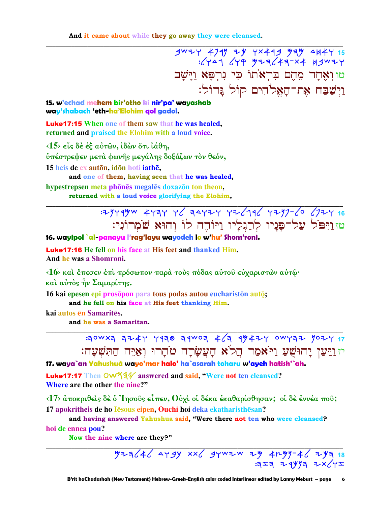$3^{w7}Y 4797 7Y 77449 777 15$  + 4747 + 4748 + 48444 + 4848; טוואָחָד מֶהֶם בִּרְאֹתוֹ כִּי נִרְפָּא וַיָּשָׁב וַיִּשַׁבַּח אָת־הַאֱלֹהִים קוֹל גַּדוֹל:

15. w'echad mehem bir'otho ki nir'pa' wayashab way'shabach 'eth-ha'Elohim gol gadol.

**Luke17:15** When one of them saw that he was healed, returned and praised the Elohim with a loud voice.

 $\langle 15 \rangle$  είς δέ έξ αύτων, ίδων ότι ίάθη, ύπέστρεψεν μετά φωνής μεγάλης δοξάζων τον θεόν, 15 heis de ex auton, idon hoti iathe,

and one of them, having seen that he was healed, hypestrepsen meta phones megales doxazon ton theon.

returned with a loud voice glorifying the Elohim,

### : 2949yw 4434 46 34424 426196 4297-60 6724 16 טזוַיִּפֹּל עֲל־פַּנֵיו לְרַגְלֵיו וַיּוֹדֶה לוֹ וְהוּא שֹׁמְרוֹנִי:

#### 16. wayipol`al-panayu l'rag'layu wayodeh lo w'hu' Shom'roni.

**Luke 17:16** He fell on his face at His feet and thanked Him. And he was a Shomroni.

 $\langle 16 \rangle$  και έπεσεν έπι πρόσωπον παρά τους πόδας αύτου εύχαριστών αύτώ· καί αύτος ήν Σαμαρίτης.

16 kai epesen epi prosopon para tous podas autou euchariston auto; and he fell on his face at His feet thanking Him.

kai autos en Samarites.

and he was a Samaritan.

 $130WX3$  3244 7430 34W03 4/3 44424 0WY32 1024 17 יזוַיַּעַן יַחוּשָׁעַ וַיֹּאמַר הֲלֹא הַעֲשַׂרַה טֹהַרוּ וְאַיִּה הַתִּשִׁעַה:

17. waya`an Yahushuà wayo'mar halo' ha`asarah toharu w'ayeh hatish'`ah.

Luke17:17 Then OW534 answered and said, "Were not ten cleansed? Where are the other the nine?"

 $\langle 17 \rangle$  άποκριθείς δέ ό 'Iησούς είπεν, Ούχι οί δέκα εκαθαρίσθησαν; οί δε εννέα που; 17 apokritheis de ho Iesous eipen, Ouchi hoi deka ekatharisthesan?

and having answered Yahushua said, "Were there not ten who were cleansed? hoi de ennea pou?

Now the nine where are they?"

 $774646$  449y xx6 gywzw zy 4ryy-46 zya 18  $3773$   $74993$   $722$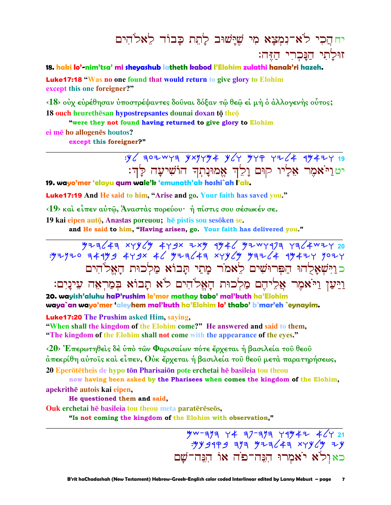# יחהֵכִי לֹא־נִמְצָא מִי שֵׁיַּשׁוּב לַחֵת כַּבוֹד לֵאלֹהִים זוּלַתִי הַנַּכְרִי הַזֶּה׃

#### 18. haki lo'-nim'tsa' mi sheyashub latheth kabod l'Elohim zulathi hanak'ri hazeh.

Luke17:18 "Was no one found that would return to give glory to Elohim except this one foreigner?"

 $\langle 18 \rangle$  ούχ ευρέθησαν υποστρέψαντες δουναι δόξαν τω θεω ει μη ο άλλογενης ουτος; 18 ouch heurethesan hypostrepsantes dounai doxan to theo

"were they not found having returned to give glory to Elohim

ei mē ho allogenēs houtos? except this foreigner?"

> $y$  302 WYA YXYYY4 Y 4 YYA YI 44 47424 19 יטוַיֹּאמֶר אֶלָיו קוּם וַלֵדְ אֱמוּנַתִךְ הוֹשִׁיעָה לַַדְ:

19. wayo'mer 'elayu gum wale'k 'emunath'ak hoshi`ah l'ak.

**Luke17:19** And He said to him, "Arise and go. Your faith has saved you."

<19> και είπεν αύτώ, Άναστας πορεύου· ή πίστις σου σέσωκέν σε.

19 kai eipen autō, Anastas poreuou; hē pistis sou sesōken se.

and He said to him, "Having arisen, go. Your faith has delivered you."

כוַיִּשְׁאֲלְהוּ הַפִּרוּשִׁים לֵאמֹר מַתַי תַּבוֹא מַלְכוּת הַאֲלֹהִים ויען ויאמר אליהם מלכוּת האלהים לֹא תבוֹא במראה עינים:

20. wayish'aluhu haP'rushim le'mor mathay tabo' mal'kuth ha'Elohim waya`an wayo'mer 'aleyhem mal'kuth ha'Elohim lo' thabo' b'mar'eh `eynayim.

**Luke17:20** The Prushim asked Him, saying,

"When shall the kingdom of the Elohim come?" He answered and said to them, "The kingdom of the Elohim shall not come with the appearance of the eyes."

<20> Έπερωτηθείς δε ύπο των Φαρισαίων πότε έρχεται ή βασιλεία του θεου άπεκρίθη αὐτοῖς καὶ εἶπεν, Οὐκ ἔρχεται ή βασιλεία τοῦ θεοῦ μετὰ παρατηρήσεως, 20 Eperõtetheis de hypo ton Pharisaion pote erchetai he basileia tou theou

now having been asked by the Pharisees when comes the kingdom of the Elohim, apekrithē autois kai eipen,

He questioned them and said,

Ouk erchetai hē basileia tou theou meta paratērēseōs,

"Is not coming the kingdom of the Elohim with observation,"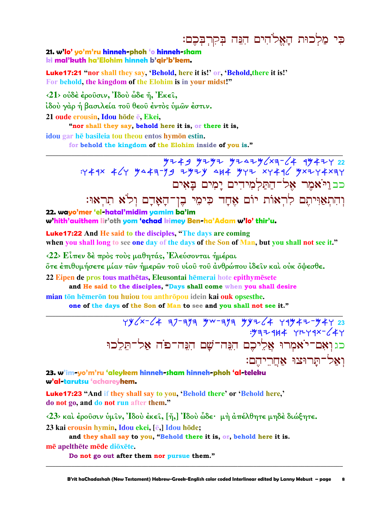כִּי מַלְכוּת הָאֱלֹהִים הִנֵּה בִקְרִבִּכֶם:

21. w'lo' yo'm'ru hinneh-phoh 'o hinneh-sham ki mal'kuth ha'Elohim hinneh b'gir'b'kem.

**Luke17:21** "nor shall they say, 'Behold, here it is!' or, 'Behold, there it is!' For behold, the kingdom of the Elohim is in your midst!"

 $\langle 21 \rangle$  ούδέ έρουσιν, Ίδου ὧδε ή, Έκει,

ίδού γάρ ή βασιλεία του θεου έντος ύμων έστιν.

21 oude erousin, Idou hode e, Ekei,

"nor shall they say, behold here it is, or there it is,

idou gar hē basileia tou theou entos hymon estin.

for behold the kingdom of the Elohim inside of you is."

 $47449$   $4747$   $4749$   $4742$   $4742$   $4742$   $4742$   $4742$   $4742$   $4742$   $4742$   $4742$   $4742$   $4742$   $4742$   $4742$   $4742$   $4742$   $4742$   $4742$   $4742$   $4742$   $4742$   $4742$   $4742$   $4742$   $4742$   $4742$   $4742$   $4742$   $4742$   $47$ : 444 464 3443-39 737 484 3772 x7446 3x274x37 כב וַיֹּאמֶר אֵל־הַתַּלְמִידִים יַמִים בַּאִים וְהִתְאֲוִּיהֶם לְרְאוֹת יוֹם אֶחָד כִּימֵי בֶן־הָאֲדָם וִלֹּא תִרְאוּ:

22. wavo'mer 'el-hatal'midim vamim ba'im w'hith'auithem lir'oth yom 'echad kimey Ben-ha'Adam w'lo' thir'u.

**Luke 17:22** And He said to the disciples, "The days are coming when you shall long to see one day of the days of the Son of Man, but you shall not see it."

<22> Είπεν δέ πρός τούς μαθητάς, Ελεύσονται ήμέραι

őτε έπιθυμήσετε μίαν τῶν ἡμερῶν τοῦ νἱοῦ τοῦ ἀνθρώπου ἰδεῖν καὶ οὐκ ὄψεσθε.

22 Einen de pros tous mathētas. Eleusontai hēmerai hote epithymēsete

and He said to the disciples, "Days shall come when you shall desire mian tōn hēmerōn tou huiou tou anthrōpou idein kai ouk opsesthe.

one of the days of the Son of Man to see and you shall not see it."

 $YYZX-C4$   $7777$   $YW-777$   $YY7C4$   $Y4Y47-Y47$  23 כגואם־יֹאמְרוּ אֲלִיכֵם הִנֵּה־שָׁם הִנֵּה־פֹה אַל־תֵּלֵכוּ ואל־תּרוּצוּ אחריהם:

23. w'im-yo'm'ru 'aleykem hinneh-sham hinneh-phoh 'al-teleku w'al-tarutsu 'achareyhem.

**Luke17:23 "And if they shall say to you, 'Behold there' or 'Behold here,'** do not go, and do not run after them."

 $\langle 23 \rangle$  και έρουσιν υμίν, Ιδου έκει, [ἤ,] Ιδου ὧδε· μη άπέλθητε μηδε διώξητε.

23 kai erousin hymin, Idou ekei, [ē,] Idou hōde;

and they shall say to you, "Behold there it is, or, behold here it is.

mē apelthēte mēde diōxēte.

Do not go out after them nor pursue them."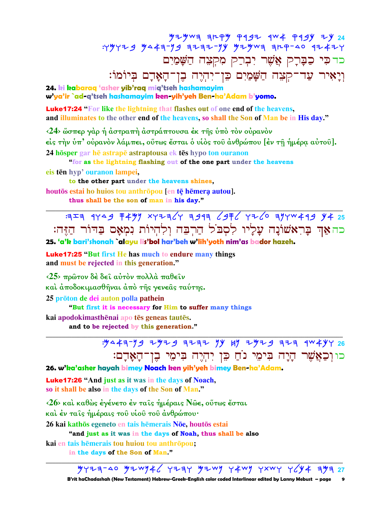$\frac{y}{y}+y\leq 1 + \frac{y}{y} + \frac{y}{y} + \frac{y}{y} + \frac{y}{y} + \frac{y}{y} + \frac{y}{y} + \frac{y}{y} + \frac{y}{y} + \frac{y}{y} + \frac{y}{y} + \frac{y}{y} + \frac{y}{y} + \frac{y}{y} + \frac{y}{y} + \frac{y}{y} + \frac{y}{y} + \frac{y}{y} + \frac{y}{y} + \frac{y}{y} + \frac{y}{y} + \frac{y}{y} + \frac{y}{y} + \frac{y}{y} + \frac{y}{y} + \frac{y}{y} + \frac{y}{$ כדכי כַבָּרָק אֲשֶׁר יִבְרַק מִקְצָה הַשָּׁמַיִם וְיָאִיר עַד־קִצָּה הַשָּׁמַיִם כֵּן־יִהְיֵה בֶן־הָאֲדָם בִּיוֹמוֹ:

24. ki kabaraq 'asher yib'raq miq'tseh hashamayim w'ya'ir `ad-q'tseh hashamayim ken-yih'yeh Ben-ha'Adam b'yomo.

**Luke17:24** "For like the lightning that flashes out of one end of the heavens, and illuminates to the other end of the heavens, so shall the Son of Man be in His day."

<24> ώσπερ γάρ ή άστραπή άστράπτουσα έκ της ύπό τον ούρανον είς την ύπ' ούρανον λάμπει, ούτως έσται ο υίος του ανθρώπου [εν τη ήμέρα αύτου]. 24 hosper gar he astrape astraptousa ek tes hypo ton ouranon

"for as the lightning flashing out of the one part under the heavens eis tēn hyp' ouranon lampei,

to the other part under the heavens shines, houtos estai ho huios tou anthropou [en tē hemera autou]. thus shall be the son of man in his day."

 $757$  4YA 9 F499 XYZA(Y 3913 (9F6 YZ6 39YW449 Y4 25 כהאַד בַּרְאֹשׁוֹנַה עַלַיו לִסְבֹל הַרְבָּה וְלְהִיוֹת נְמִאָּם בַּדּוֹר הַזֶּה:

25. 'a'k bari'shonah `alayu lis'bol har'beh w'lih'yoth nim'as bador hazeh.

**Luke17:25 "But first He has much to endure many things** and must be rejected in this generation."

 $\langle 25 \rangle$  πρώτον δέ δει αύτον πολλά παθειν

καὶ ἀποδοκιμασθῆναι ἀπὸ τῆς γενεᾶς ταύτης.

25 prōton de dei auton polla pathein

"But first it is necessary for Him to suffer many things

kai apodokimasthēnai apo tēs geneas tautēs.

and to be rejected by this generation."

כוּוְכַאֲשֶׁר הָיָה בִּימֵי נוֹחַ כֵּן יִהְיֶה בִּימֵי בֵן־הָאָדָם:

26. w'ka'asher hayah bimey Noach ken yih'yeh bimey Ben-ha'Adam.

**Luke17:26 "And just as it was in the days of Noach,** so it shall be also in the days of the Son of Man."

 $\langle 26 \rangle$  καὶ καθὼς ἐγένετο ἐν ταῖς ἡμέραις Νῶε, οὕτως ἔσται

καὶ ἐν ταῖς ἡμέραις τοῦ υἱοῦ τοῦ ἀνθρώπου·

26 kai kathōs egeneto en tais hēmerais Nōe, houtōs estai

"and just as it was in the days of Noah, thus shall be also

kai en tais hēmerais tou huiou tou anthrōpou;

in the days of the Son of Man."

 $747720$   $9740$   $97474$   $1274$   $1274$   $1274$   $1274$   $1274$   $1274$   $1274$   $1274$   $1274$   $1274$   $1274$   $1274$   $1274$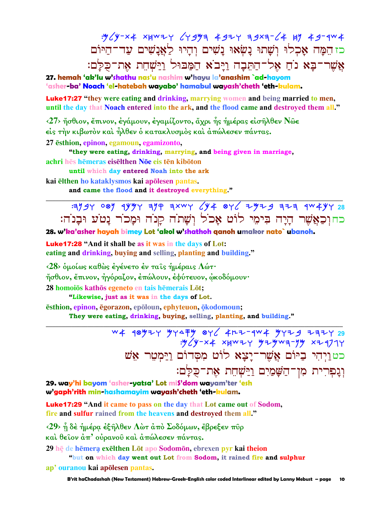כז הִמָּה אָכְלוּ וְשָׁתוּ נַשְׂאוּ נַשִׁים וְהַיוּ לַאֲנַשִׁים עַד־הַיּוֹם אֲשֶׁר־בַּא נֹחַ אֶל־הַתֵּבָה וַיַּבֹא הַמַּבּוּל וַיַּשְׁחֶת אֶת־כִּלַּם:

27. hemah 'ak'lu w'shathu nas'u nashim w'havu la'anashim `ad-hayom 'asher-**ba' Noach 'el-hatebah wayabo' hamabul wayash'cheth 'eth-kulam.** 

**Luke17:27** "they were eating and drinking, marrying women and being married to men, until the day that Noach entered into the ark, and the flood came and destroyed them all."

 $\langle 27 \rangle$  ήσθιον, έπινον, έγάμουν, έγαμίζοντο, άχρι ής ημέρας είσηλθεν Νώε είς την κιβωτόν και ήλθεν ό κατακλυσμός και άπώλεσεν πάντας.

27 esthion, epinon, egamoun, egamizonto,

"they were eating, drinking, marrying, and being given in marriage,

achri hēs hēmeras eisēlthen Nōe eis tēn kibōton

until which day entered Noah into the ark

kai elthen ho kataklysmos kai apõlesen pantas.

and came the flood and it destroyed everything."

 $3197$  081 1444 314 3xwy  $\sqrt{4}$  8y  $\sqrt{4}$  3y 333 323 44444 38 כחוִכַאֲשֶׁר הַיַּה בִּימֵי לוֹט אָכֹל וְשַׁתֹה קַנֹה וּמַכֹר נַטֹע וּבָנֹה:

28. w'ka'asher hayah bimey Lot 'akol w'shathoh qanoh umakor nato` ubanoh.

**Luke 17:28** "And it shall be as it was in the days of Lot: eating and drinking, buying and selling, planting and building."

 $\langle 28 \rangle$  δμοίως καθώς έγένετο έν ταις ήμέραις Λώτ· ήσθιον, ἔπινον, ἠγόραζον, ἐπώλουν, ἐφύτευον, ὦκοδόμουν· 28 homoios kathos egeneto en tais hemerais Lot;

"Likewise, just as it was in the days of Lot.

esthion, epinon, egorazon, epoloun, ephyteuon, okodomoun;

They were eating, drinking, buying, selling, planting, and building."

W4 10972 974 79 076 4H2-1W4 9729 2772 29  $\frac{1}{2}$   $\frac{1}{2}$   $\frac{1}{2}$   $\frac{1}{2}$   $\frac{1}{2}$   $\frac{1}{2}$   $\frac{1}{2}$   $\frac{1}{2}$   $\frac{1}{2}$   $\frac{1}{2}$   $\frac{1}{2}$   $\frac{1}{2}$   $\frac{1}{2}$   $\frac{1}{2}$   $\frac{1}{2}$   $\frac{1}{2}$   $\frac{1}{2}$   $\frac{1}{2}$   $\frac{1}{2}$   $\frac{1}{2}$   $\frac{1}{2}$   $\frac{1}{2}$  כטוַיְהִי בַיּוֹם אֲשֶׁר־יָצָא לוֹט מִסְדוֹם וַיַּמְטֵר אֵשׁ וְגַפְרִית מִן־הַשַּׁמַיִם וַיַּשְׁחֶת אֶת־כִּלַּם:

29. way'hi bayom 'asher-yatsa' Lot miS'dom wayam'ter 'esh w'gaph'rith min-hashamayim wayash'cheth 'eth-kulam.

**Luke17:29** "And it came to pass on the day that Lot came out of Sodom, fire and sulfur rained from the heavens and destroyed them all."

 $\langle 29 \rangle$  η δε ήμέρα εξηλθεν Λώτ από Σοδόμων, έβρεξεν πυρ

και θείον άπ' ουρανού και άπώλεσεν πάντας.

29 he de hemera exelthen Lot apo Sodomon, ebrexen pyr kai theion

"but on which day went out Lot from Sodom, it rained fire and sulphur

ap' ouranou kai apõlesen pantas.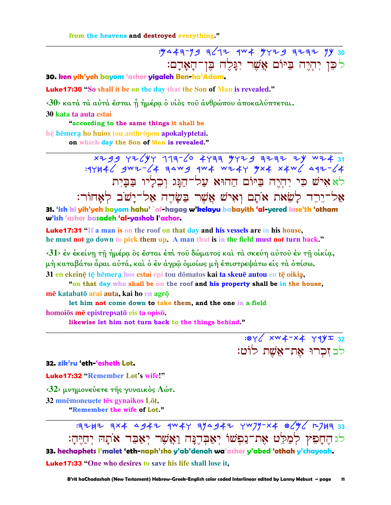from the heavens and destroyed everything."

# לִכֵּן יִהְיֶה בַּיּוֹם אֲשֶׁר יִנָּלֵה בֵּן־הָאָדָם:

 $.84/$  xw4-x4  $44/2$  32

לבזִכְרוּ אָת־אָשֶׁת לוֹט:

30. ken yih'yeh bayom 'asher yigaleh Ben-ha'Adam.

**Luke17:30** "So shall it be on the day that the Son of Man is revealed."

<30> κατά τά αύτά έσται ή ήμέρα ό υίος του άνθρώπου άποκαλύπτεται.

30 kata ta auta estai

"according to the same things it shall be hē hēmera ho huios tou anthrōpou apokalyptetai. on which day the Son of Man is revealed."

> xzgg Yz/YY 117-6 4Y77 777 9 7777 2Y WI431<br>4)-Julie Jwz-64 74W 4W4 WI4Y 9X4 X4W לאאיש כי יהיה ביום ההוא על־הגג וכליו בבית אַל־יֵרֶד לַשֵׂאת אֹתָם וְאִישׁ אֲשֶׁר בַּשָּׂרֶה אַל־יָשֹׁב לְאָחוֹר:

31. 'ish ki yih'yeh bayom hahu' `al-hagag w'kelayu babayith 'al-yered lase'th 'otham w'ish 'asher basadeh 'al-yashob l'achor.

**Luke17:31 "If a man is on the roof on that day and his vessels are in his house,** he must not go down to pick them up. A man that is in the field must not turn back."

 $\langle 31 \rangle$  έν έκείνη τη ήμέρα ὃς έσται έπι του δώματος και τα σκεύη αύτου έν τη οικία, μή καταβάτω άραι αύτά, και ο έν άγρω ομοίως μή επιστρεψάτω εις τα οπίσω. 31 en ekeinē tē hēmera hos estai epi tou dōmatos kai ta skeuē autou en tē oikia,

"on that day who shall be on the roof and his property shall be in the house, mē katabatō arai auta, kai ho en agrō

let him not come down to take them, and the one in a field homoios me epistrepsato eis ta opiso.

likewise let him not turn back to the things behind."

32. zib'ru 'eth-'esheth Lot.

**Luke17:32 "Remember Lot's wife!"** 

 $\langle 32 \rangle$  μνημονεύετε της γυναικός Λώτ.

32 mnēmoneuete tēs gynaikos Lōt. "Remember the wife of Lot."

:3242 3x4 4942 9W4Y 394942 YW79-X4 8CyC 12743 33 לגהֶחָפִץ לְמַלֵּט אֶת־נַפְשׁוֹ יְאַבְהֶנָּה וַאֲשֶׁר יְאַבֵּד אֹתָהּ יְחַיֶּהָ: 33. hechaphets I'malet 'eth-naph'sho y'ab'denah wa'asher y'abed 'othah y'chayeah. **Luke17:33** "One who desires to save his life shall lose it,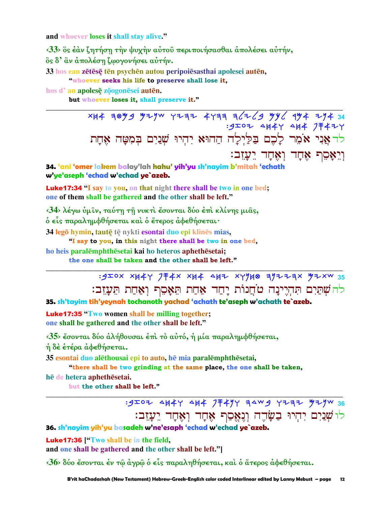and whoever loses it shall stay alive."

<33> δς έαν ζητήση την ψυχήν αύτου περιποιήσασθαι απολέσει αύτήν, ὃς δ' ἂν ἀπολέση ζωογονήσει αὐτήν.

33 hos ean zētēsē tēn psychēn autou peripoiesasthai apolesei autēn,

"whoever seeks his life to preserve shall lose it,

hos d'an apolesę zoogonesei auten.

but whoever loses it, shall preserve it."

 $x + 48$   $y - 34$   $y - 4$   $y - 4$   $z - 5$   $z - 6$   $z - 6$   $z - 7$   $z - 7$   $z - 7$   $z - 8$ .<br>9IOZ 4H4Y 4H4 JF4ZY לה אֲנִי אֹמֶר לָכֶם בַּלַיִלַה הַהוּא יִהִיוּ שִׁנַיִם בִּמְטָָה אֶחָת וִיִאָּםֶף אָחָד וְאָחָד יֵעֲזֵב:

34. 'ani 'omer lakem balay'lah hahu' yih'yu sh'nayim b'mitah 'echath w'ye'aseph 'echad w'echad ye`azeb.

**Luke17:34** "I say to you, on that night there shall be two in one bed; one of them shall be gathered and the other shall be left."

<34> λέγω ύμιν, ταύτη τη νυκτί έσονται δύο έπι κλίνης μιας,

ό είς παραλημφθήσεται και ο έτερος αφεθήσεται·

34 legō hymin, tautē tē nykti esontai duo epi klinēs mias,

"I say to you, in this night there shall be two in one bed,

ho heis paralemphthesetai kai ho heteros aphethesetai;

the one shall be taken and the other shall be left."

 $:320x$  XH4Y JF4X XH4 AHZ XYYH0 7YZZ7X YZXW 35 להשתים תהיינה טחֲנוֹת יָחַד אַחַת תֵּאָסֵף וְאַחַת תֵּעֲזֶב:

35. sh'tayim tih'yeynah tochanoth yachad 'achath te'aseph w'achath te`azeb.

**Luke17:35 "Two women shall be milling together;** one shall be gathered and the other shall be left."

<35> έσονται δύο άλήθουσαι έπι το αύτό, ή μία παραλημφθήσεται,

ή δε έτέρα άφεθήσεται.

35 esontai duo alethousai epi to auto, he mia paralemphthesetai, "there shall be two grinding at the same place, the one shall be taken,

hē de hetera aphethēsetai. but the other shall be left."

> : 9IOZ 4H4Y 4H4 7 F4YY 34W9 YZZZ YZYW 36 לוֹשִׁנַיִם יִהְיוּ בַשַּׂדֵה וְנִאֵםַף אֶחָד וְאֶחָד יֵעֲזֵב:

36. sh'nayim yih'yu basadeh w'ne'esaph 'echad w'echad ye`azeb.

**Luke17:36** ["Two shall be in the field, and one shall be gathered and the other shall be left."

 $\langle 36 \rangle$  δύο ἔσονται ἐν τῷ ἀγρῷ ὁ εἶς παραληθήσεται, καὶ ὁ ἅτερος ἀφεθήσεται.